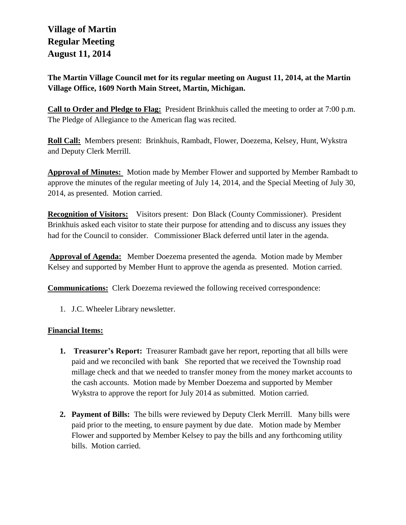## **Village of Martin Regular Meeting August 11, 2014**

**The Martin Village Council met for its regular meeting on August 11, 2014, at the Martin Village Office, 1609 North Main Street, Martin, Michigan.**

**Call to Order and Pledge to Flag:** President Brinkhuis called the meeting to order at 7:00 p.m. The Pledge of Allegiance to the American flag was recited.

**Roll Call:** Members present: Brinkhuis, Rambadt, Flower, Doezema, Kelsey, Hunt, Wykstra and Deputy Clerk Merrill.

**Approval of Minutes:** Motion made by Member Flower and supported by Member Rambadt to approve the minutes of the regular meeting of July 14, 2014, and the Special Meeting of July 30, 2014, as presented. Motion carried.

**Recognition of Visitors:** Visitors present: Don Black (County Commissioner). President Brinkhuis asked each visitor to state their purpose for attending and to discuss any issues they had for the Council to consider. Commissioner Black deferred until later in the agenda.

**Approval of Agenda:** Member Doezema presented the agenda. Motion made by Member Kelsey and supported by Member Hunt to approve the agenda as presented. Motion carried.

**Communications:** Clerk Doezema reviewed the following received correspondence:

1. J.C. Wheeler Library newsletter.

## **Financial Items:**

- **1. Treasurer's Report:** Treasurer Rambadt gave her report, reporting that all bills were paid and we reconciled with bank She reported that we received the Township road millage check and that we needed to transfer money from the money market accounts to the cash accounts. Motion made by Member Doezema and supported by Member Wykstra to approve the report for July 2014 as submitted. Motion carried.
- **2. Payment of Bills:** The bills were reviewed by Deputy Clerk Merrill. Many bills were paid prior to the meeting, to ensure payment by due date. Motion made by Member Flower and supported by Member Kelsey to pay the bills and any forthcoming utility bills. Motion carried.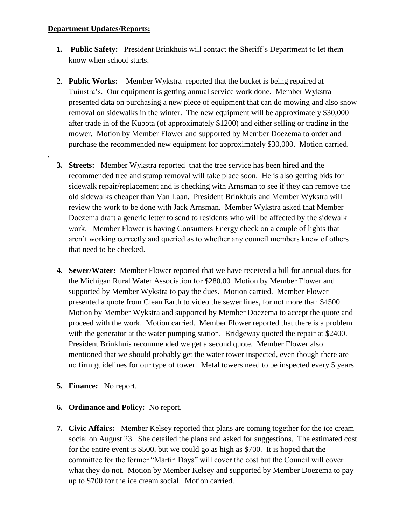## **Department Updates/Reports:**

.

- **1. Public Safety:** President Brinkhuis will contact the Sheriff's Department to let them know when school starts.
- 2. **Public Works:** Member Wykstra reported that the bucket is being repaired at Tuinstra's. Our equipment is getting annual service work done. Member Wykstra presented data on purchasing a new piece of equipment that can do mowing and also snow removal on sidewalks in the winter. The new equipment will be approximately \$30,000 after trade in of the Kubota (of approximately \$1200) and either selling or trading in the mower. Motion by Member Flower and supported by Member Doezema to order and purchase the recommended new equipment for approximately \$30,000. Motion carried.
- **3. Streets:** Member Wykstra reported that the tree service has been hired and the recommended tree and stump removal will take place soon. He is also getting bids for sidewalk repair/replacement and is checking with Arnsman to see if they can remove the old sidewalks cheaper than Van Laan. President Brinkhuis and Member Wykstra will review the work to be done with Jack Arnsman. Member Wykstra asked that Member Doezema draft a generic letter to send to residents who will be affected by the sidewalk work. Member Flower is having Consumers Energy check on a couple of lights that aren't working correctly and queried as to whether any council members knew of others that need to be checked.
- **4. Sewer/Water:** Member Flower reported that we have received a bill for annual dues for the Michigan Rural Water Association for \$280.00 Motion by Member Flower and supported by Member Wykstra to pay the dues. Motion carried. Member Flower presented a quote from Clean Earth to video the sewer lines, for not more than \$4500. Motion by Member Wykstra and supported by Member Doezema to accept the quote and proceed with the work. Motion carried. Member Flower reported that there is a problem with the generator at the water pumping station. Bridgeway quoted the repair at \$2400. President Brinkhuis recommended we get a second quote. Member Flower also mentioned that we should probably get the water tower inspected, even though there are no firm guidelines for our type of tower. Metal towers need to be inspected every 5 years.
- **5. Finance:** No report.
- **6. Ordinance and Policy:** No report.
- **7. Civic Affairs:** Member Kelsey reported that plans are coming together for the ice cream social on August 23. She detailed the plans and asked for suggestions. The estimated cost for the entire event is \$500, but we could go as high as \$700. It is hoped that the committee for the former "Martin Days" will cover the cost but the Council will cover what they do not. Motion by Member Kelsey and supported by Member Doezema to pay up to \$700 for the ice cream social. Motion carried.